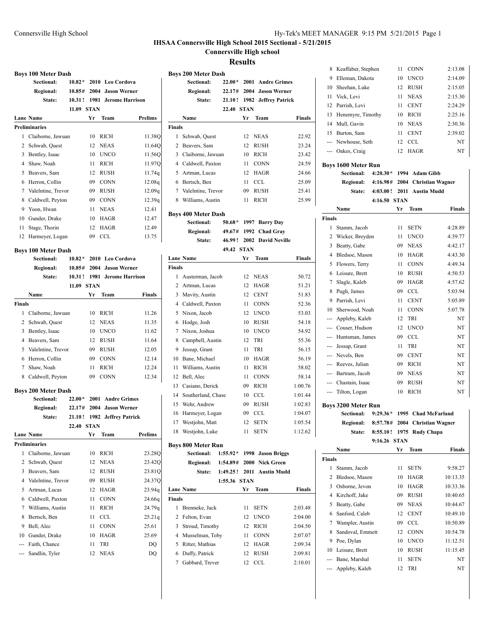### **IHSAA Connersville High School 2015 Sectional - 5/21/2015**

**Connersville High school**

#### **Results**

|                | <b>Boys 100 Meter Dash</b>               |          |             |                        |                |
|----------------|------------------------------------------|----------|-------------|------------------------|----------------|
|                | <b>Sectional:</b>                        | $10.82*$ |             | 2010 Leo Cordova       |                |
|                | Regional:                                | 10.85#   | 2004        | <b>Jason Werner</b>    |                |
|                | State:                                   | 10.31!   | 1981        | <b>Jerome Harrison</b> |                |
|                |                                          | 11.09    | <b>STAN</b> |                        |                |
|                | <b>Lane Name</b>                         |          | Yr          | Team                   | <b>Prelims</b> |
|                | <b>Preliminaries</b>                     |          |             |                        |                |
| 1              | Claiborne, Jawuan                        |          | 10          | RICH                   | 11.38Q         |
| 2              | Schwab, Quest                            |          | 12          | <b>NEAS</b>            | 11.64Q         |
| 3              | Bentley, Isaac                           |          | 10          | <b>UNCO</b>            | 11.56Q         |
| $\overline{4}$ | Shaw, Noah                               |          | 11          | <b>RICH</b>            | 11.97Q         |
| 5              | Beavers, Sam                             |          | 12          | <b>RUSH</b>            | 11.74q         |
| 6              | Herron, Collin                           |          | 09          | <b>CONN</b>            | 12.08q         |
| 7              | ValeIntine, Trevor                       |          | 09          | <b>RUSH</b>            | 12.09q         |
| 8              | Caldwell, Peyton                         |          | 09          | <b>CONN</b>            | 12.39q         |
| 9              | Yoon, Hwan                               |          | 11          | <b>NEAS</b>            | 12.41          |
| 10             | Gunder, Drake                            |          | 10          | HAGR                   | 12.47          |
| 11             | Stage, Thorin                            |          | 12          | HAGR                   | 12.49          |
| 12             | Harmeyer, Logan                          |          | 09          | <b>CCL</b>             | 13.75          |
|                | <b>Boys 100 Meter Dash</b>               |          |             |                        |                |
|                | Sectional:                               | $10.82*$ |             | 2010 Leo Cordova       |                |
|                | <b>Regional:</b>                         | 10.85#   | 2004        | <b>Jason Werner</b>    |                |
|                | State:                                   | 10.31!   | 1981        | <b>Jerome Harrison</b> |                |
|                |                                          | 11.09    | STAN        |                        |                |
|                | Name                                     |          | Yr          | Team                   | Finals         |
| Finals         |                                          |          |             |                        |                |
| 1              | Claiborne, Jawuan                        |          | 10          | <b>RICH</b>            | 11.26          |
| 2              | Schwab, Quest                            |          | 12          | <b>NEAS</b>            | 11.35          |
| 3              | Bentley, Isaac                           |          | 10          | <b>UNCO</b>            | 11.62          |
| 4              | Beavers, Sam                             |          | 12          | <b>RUSH</b>            | 11.64          |
| 5              | ValeIntine, Trevor                       |          | 09          | <b>RUSH</b>            | 12.05          |
| 6              | Herron, Collin                           |          | 09          | <b>CONN</b>            | 12.14          |
| 7              | Shaw, Noah                               |          | 11          | <b>RICH</b>            | 12.24          |
| 8              | Caldwell, Peyton                         |          | 09          | <b>CONN</b>            | 12.34          |
|                |                                          |          |             |                        |                |
|                | <b>Boys 200 Meter Dash</b><br>Sectional: | $22.00*$ | 2001        | <b>Andre Grimes</b>    |                |
|                | Regional:                                | 22.17#   | 2004        | <b>Jason Werner</b>    |                |
|                | State:                                   | 21.10!   | 1982        | <b>Jeffrey Patrick</b> |                |
|                |                                          | 22.40    | <b>STAN</b> |                        |                |
|                | <b>Lane Name</b>                         |          | Yr          | Team                   | Prelims        |
|                | <b>Preliminaries</b>                     |          |             |                        |                |
| 1              | Claiborne, Jawuan                        |          | 10          | RICH                   | 23.28Q         |
| 2              | Schwab, Quest                            |          | 12          | NEAS                   | 23.42Q         |
| 3              | Beavers, Sam                             |          | 12          | <b>RUSH</b>            | 23.81Q         |
| 4              | ValeIntine, Trevor                       |          | 09          | RUSH                   | 24.37Q         |
| 5              | Artman, Lucas                            |          | 12          | HAGR                   | 23.94q         |
| 6              | Caldwell, Paxton                         |          | 11          | <b>CONN</b>            | 24.66g         |
| 7              | Williams, Austin                         |          | 11          | <b>RICH</b>            | 24.79q         |
| 8              | Bertsch, Ben                             |          | 11          | <b>CCL</b>             | 25.21q         |
| 9              | Bell, Alec                               |          | 11          | CONN                   | 25.61          |
| 10             | Gunder, Drake                            |          | 10          | HAGR                   | 25.69          |
| ---            | Faith, Chance                            |          | 11          | TRI                    | DQ             |
| ---            | Sandlin, Tyler                           |          | 12          | <b>NEAS</b>            | DQ             |
|                |                                          |          |             |                        |                |

|        | <b>Boys 200 Meter Dash</b> |          |             |                      |               |
|--------|----------------------------|----------|-------------|----------------------|---------------|
|        | Sectional:                 | $22.00*$ |             | 2001 Andre Grimes    |               |
|        | <b>Regional:</b>           | 22.17#   |             | 2004 Jason Werner    |               |
|        | State:                     | 21.10!   |             | 1982 Jeffrey Patrick |               |
|        |                            | 22.40    | <b>STAN</b> |                      |               |
|        | Name                       |          | Yr          | Team                 | <b>Finals</b> |
| Finals |                            |          |             |                      |               |
| 1      | Schwab, Quest              |          |             | 12 NEAS              | 22.92         |
| 2      | Beavers, Sam               |          | 12          | <b>RUSH</b>          | 23.24         |
| 3      | Claiborne, Jawuan          |          | 10          | <b>RICH</b>          | 23.42         |
| 4      | Caldwell, Paxton           |          | 11          | CONN                 | 24.59         |
| 5      | Artman, Lucas              |          | 12          | <b>HAGR</b>          | 24.66         |
| 6      | Bertsch, Ben               |          | 11          | CCL.                 | 25.09         |
| 7      | Valelntine, Trevor         |          | 09          | <b>RUSH</b>          | 25.41         |
| 8      | Williams, Austin           |          | 11          | <b>RICH</b>          | 25.99         |
|        |                            |          |             |                      |               |

### **Boys 400 Meter Dash**

| <b>Sectional:</b> |            | 50.68* 1997 Barry Day     |
|-------------------|------------|---------------------------|
| <b>Regional:</b>  |            | 49.67# 1992 Chad Gray     |
| State:            |            | 46.99! 2002 David Neville |
|                   | 49.42 STAN |                           |

|               | <b>Lane Name</b>   | Yr | Team        | Finals  |
|---------------|--------------------|----|-------------|---------|
| <b>Finals</b> |                    |    |             |         |
| 1             | Austerman, Jacob   | 12 | <b>NEAS</b> | 50.72   |
| 2             | Artman, Lucas      | 12 | <b>HAGR</b> | 51.21   |
| 3             | Mavity, Austin     | 12 | <b>CENT</b> | 51.83   |
| 4             | Caldwell, Paxton   | 11 | <b>CONN</b> | 52.36   |
| 5             | Nixon, Jacob       | 12 | <b>UNCO</b> | 53.03   |
| 6             | Hodge, Josh        | 10 | <b>RUSH</b> | 54.18   |
| 7             | Nixon, Joshua      | 10 | <b>UNCO</b> | 54.92   |
| 8             | Campbell, Austin   | 12 | TRI         | 55.36   |
| 9             | Jessup, Grant      | 11 | TRI         | 56.15   |
| 10            | Bane, Michael      | 10 | <b>HAGR</b> | 56.19   |
| 11            | Williams, Austin   | 11 | <b>RICH</b> | 58.02   |
| 12            | Bell, Alec         | 11 | <b>CONN</b> | 58.14   |
| 13            | Casiano, Derick    | 09 | <b>RICH</b> | 1:00.76 |
| 14            | Southerland, Chase | 10 | CCL         | 1:01.44 |
| 15            | Wehr, Andrew       | 09 | <b>RUSH</b> | 1:02.83 |
| 16            | Harmeyer, Logan    | 09 | <b>CCL</b>  | 1:04.07 |
| 17            | Westjohn, Matt     | 12 | <b>SETN</b> | 1:05.54 |
| 18            | Westjohn, Luke     | 11 | <b>SETN</b> | 1:12.62 |

#### **Boys 800 Meter Run**

|               | <b>Sectional:</b><br><b>Regional:</b><br><b>State:</b> | 1:55.36 STAN |     | 1:55.92 * 1998 Jason Briggs<br>1:54.89# 2000 Nick Green<br>1:49.25! 2011 Austin Mudd |         |
|---------------|--------------------------------------------------------|--------------|-----|--------------------------------------------------------------------------------------|---------|
|               | <b>Lane Name</b>                                       |              | Yr. | <b>Team</b>                                                                          | Finals  |
| <b>Finals</b> |                                                        |              |     |                                                                                      |         |
| 1             | Brenneke, Jack                                         |              | 11  | <b>SETN</b>                                                                          | 2:03.48 |
|               | 2 Felton, Evan                                         |              | 12  | <b>UNCO</b>                                                                          | 2:04.00 |
|               | 3 Stroud, Timothy                                      |              | 12  | RICH                                                                                 | 2:04.50 |
|               | 4 Musselman, Toby                                      |              | 11  | <b>CONN</b>                                                                          | 2:07.07 |
|               | 5 Ritter, Mathias                                      |              |     | 12 HAGR                                                                              | 2:09.34 |
| 6             | Duffy, Patrick                                         |              |     | 12 RUSH                                                                              | 2:09.81 |
|               | Gabbard, Trever                                        |              |     | 12 CCL                                                                               | 2:10.01 |
|               |                                                        |              |     |                                                                                      |         |

| 8                                                                        | Keaffaber, Stephen                     | 11          | <b>CONN</b>                                 | 2:13.08       |  |
|--------------------------------------------------------------------------|----------------------------------------|-------------|---------------------------------------------|---------------|--|
| 9                                                                        | Elleman, Dakota                        | 10          | <b>UNCO</b>                                 | 2:14.09       |  |
| 10                                                                       | Sheehan, Luke                          | 12          | <b>RUSH</b>                                 | 2:15.05       |  |
| 11                                                                       | Vick, Levi                             | 11          | <b>NEAS</b>                                 | 2:15.30       |  |
| 12                                                                       | Parrish, Levi                          | 11          | <b>CENT</b>                                 | 2:24.29       |  |
| 13                                                                       | Henemyre, Timothy                      | 10          | <b>RICH</b>                                 | 2:25.16       |  |
| 14                                                                       | Mull, Gavin                            | 10          | <b>NEAS</b>                                 | 2:30.36       |  |
| 15                                                                       | Burton, Sam                            | 11          | <b>CENT</b>                                 | 2:39.02       |  |
| ---                                                                      | Newhouse, Seth                         | 12          | <b>CCL</b>                                  | NT            |  |
| $\overline{a}$                                                           | Oakes, Craig                           | 12          | <b>HAGR</b>                                 | NT            |  |
| <b>Boys 1600 Meter Run</b><br>$4:20.30*$<br>Sectional:<br>1994 Adam Gibb |                                        |             |                                             |               |  |
|                                                                          | 4:16.98#                               |             |                                             |               |  |
|                                                                          | <b>Regional:</b><br>4:03.00!<br>State: | 2011        | 2004 Christian Wagner<br><b>Austin Mudd</b> |               |  |
|                                                                          | 4:16.50                                | <b>STAN</b> |                                             |               |  |
|                                                                          | Name                                   | Yr          | <b>Team</b>                                 | <b>Finals</b> |  |
| <b>Finals</b>                                                            |                                        |             |                                             |               |  |
| 1                                                                        | Stamm, Jacob                           | 11          | <b>SETN</b>                                 | 4:28.89       |  |
| $\overline{c}$                                                           | Wicker, Breyden                        | 11          | <b>UNCO</b>                                 | 4:39.77       |  |
| 3                                                                        | Beatty, Gabe                           | 09          | <b>NEAS</b>                                 | 4:42.17       |  |
| 4                                                                        | Bledsoe, Mason                         | 10          | <b>HAGR</b>                                 | 4:43.30       |  |
| 5                                                                        | Flowers, Terry                         | 11          | <b>CONN</b>                                 | 4:49.34       |  |
| 6                                                                        | Leisure, Brett                         | 10          | <b>RUSH</b>                                 | 4:50.53       |  |
| 7                                                                        | Slagle, Kaleb                          | 09          | <b>HAGR</b>                                 | 4:57.62       |  |

9 Parrish, Levi 11 CENT 5:05.89 10 Sherwood, Noah 11 CONN 5:07.78 --- Appleby, Kaleb 12 TRI NT --- Couser, Hudson 12 UNCO NT --- Huntsman, James 09 CCL NT --- Jessup, Grant 11 TRI NT --- Nevels, Ben 09 CENT NT --- Reeves, Julian 09 RICH NT --- Bartram, Jacob 09 NEAS NT --- Chastain, Isaac 09 RUSH NT

# --- Tilton, Logan 10 RICH NT **Boys 3200 Meter Run**

| 5200 meter Kull |  |  |                                          |  |  |  |  |
|-----------------|--|--|------------------------------------------|--|--|--|--|
|                 |  |  | Sectional: 9:29.36* 1995 Chad McFarland  |  |  |  |  |
|                 |  |  | Regional: 8:57.78# 2004 Christian Wagner |  |  |  |  |
| <b>State:</b>   |  |  | 8:55.10! 1975 Rudy Chapa                 |  |  |  |  |

#### **9:16.26 STAN**

|        | Name               | Yг | <b>Team</b> | Finals   |
|--------|--------------------|----|-------------|----------|
| Finals |                    |    |             |          |
| 1      | Stamm, Jacob       | 11 | <b>SETN</b> | 9:58.27  |
| 2      | Bledsoe, Mason     | 10 | <b>HAGR</b> | 10:13.35 |
| 3      | Osborne, Jevon     | 10 | <b>HAGR</b> | 10:33.36 |
| 4      | Kirchoff, Jake     | 09 | <b>RUSH</b> | 10:40.65 |
| 5      | Beatty, Gabe       | 09 | <b>NEAS</b> | 10:44.67 |
| 6      | Sanford, Caleb     | 12 | <b>CENT</b> | 10:49.10 |
| 7      | Wampler, Austin    | 09 | CCL.        | 10:50.89 |
| 8      | Sandoval, Emmett   | 12 | <b>CONN</b> | 10:54.78 |
| 9      | Poe, Dylan         | 10 | <b>UNCO</b> | 11:12.51 |
| 10     | Leisure, Brett     | 10 | <b>RUSH</b> | 11:15.45 |
| $---$  | Bane, Marshal      | 11 | <b>SETN</b> | NT       |
|        | --- Appleby, Kaleb | 12 | <b>TRI</b>  | NT       |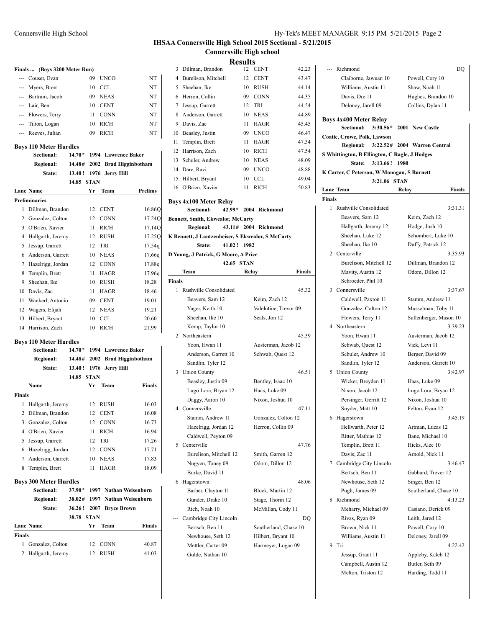### **IHSAA Connersville High School 2015 Sectional - 5/21/2015 Connersville High school**

|               | Finals  (Boys 3200 Meter Run)               |            |    |                  |                        | Dillman, Brandon<br>3                  |
|---------------|---------------------------------------------|------------|----|------------------|------------------------|----------------------------------------|
|               | --- Couser, Evan                            |            | 09 | <b>UNCO</b>      | NT                     | 4 Burelison, Mitchell                  |
|               | --- Myers, Brent                            |            | 10 | <b>CCL</b>       | NT                     | 5 Sheehan, Ike                         |
|               | --- Bartram, Jacob                          |            | 09 | <b>NEAS</b>      | NT                     | 6 Herron, Collin                       |
|               | --- Lair. Ben                               |            | 10 | <b>CENT</b>      | NT                     | Jessup, Garrett<br>7                   |
|               | --- Flowers, Terry                          |            | 11 | <b>CONN</b>      | NT                     | 8 Anderson, Garrett                    |
|               | --- Tilton, Logan                           |            | 10 | <b>RICH</b>      | NT                     | 9 Davis, Zac                           |
|               | --- Reeves, Julian                          |            | 09 | <b>RICH</b>      | NT                     | 10 Beasley, Justin                     |
|               |                                             |            |    |                  |                        | 11<br>Templin, Brett                   |
|               | <b>Boys 110 Meter Hurdles</b>               |            |    |                  |                        | 12 Harrison, Zach                      |
|               | Sectional:                                  | $14.70*$   |    |                  | 1994 Lawrence Baker    | Schuler, Andrew<br>13                  |
|               | Regional:                                   | 14.48#     |    |                  | 2002 Brad Higginbotham | 14 Dare, Ravi                          |
|               | State:                                      | 13.40!     |    | 1976 Jerry Hill  |                        | 15 Hilbert, Bryant                     |
|               |                                             | 14.85 STAN | Yr |                  | <b>Prelims</b>         | 16 O'Brien, Xavier                     |
|               | <b>Lane Name</b>                            |            |    | Team             |                        |                                        |
|               | <b>Preliminaries</b>                        |            |    |                  |                        | <b>Boys 4x100 Meter Rela</b>           |
|               | 1 Dillman, Brandon                          |            | 12 | <b>CENT</b>      | 16.86Q                 | 42<br>Sectional:                       |
|               | 2 Gonzalez, Colton                          |            | 12 | <b>CONN</b>      | 17.24Q                 | <b>Bennett, Smith, Ekwealor</b>        |
|               | 3 O'Brien, Xavier                           |            | 11 | <b>RICH</b>      | 17.14Q                 | <b>Regional:</b><br>43                 |
|               | 4 Hallgarth, Jeremy                         |            | 12 | <b>RUSH</b>      | 17.25Q                 | <b>K Bennett, J Lautzenheis</b>        |
|               | 5 Jessup, Garrett                           |            | 12 | TRI              | 17.54q                 | 41<br>State:                           |
|               | 6 Anderson, Garrett                         |            | 10 | <b>NEAS</b>      | 17.66g                 | D Young, J Patrick, G Mo               |
|               | 7 Hazelrigg, Jordan                         |            | 12 | <b>CONN</b>      | 17.88q                 | 42<br>Team                             |
| 8             | Templin, Brett                              |            | 11 | HAGR             | 17.96g                 |                                        |
|               | 9 Sheehan, Ike                              |            | 10 | <b>RUSH</b>      | 18.28                  | <b>Finals</b><br>1 Rushville Consolida |
|               | 10 Davis, Zac                               |            | 11 | <b>HAGR</b>      | 18.46                  |                                        |
| 11            | Wankerl, Antonio                            |            | 09 | <b>CENT</b>      | 19.01                  | Beavers, Sam 12                        |
|               | 12 Wagers, Elijah                           |            | 12 | NEAS             | 19.21                  | Yager, Keith 10                        |
|               | 13 Hilbert, Bryant                          |            | 10 | <b>CCL</b>       | 20.60                  | Sheehan, Ike 10                        |
|               | 14 Harrison, Zach                           |            | 10 | RICH             | 21.99                  | Kemp, Taylor 10                        |
|               | <b>Boys 110 Meter Hurdles</b>               |            |    |                  |                        | 2 Northeastern                         |
|               | Sectional:                                  | $14.70*$   |    |                  | 1994 Lawrence Baker    | Yoon, Hwan 11                          |
|               | Regional:                                   | 14.48#     |    |                  | 2002 Brad Higginbotham | Anderson, Garrett                      |
|               | State:                                      | 13.40!     |    | 1976 Jerry Hill  |                        | Sandlin, Tyler 12                      |
|               |                                             | 14.85 STAN |    |                  |                        | 3 Union County                         |
|               | Name                                        |            | Yr | Team             | <b>Finals</b>          | Beasley, Justin 09                     |
| <b>Finals</b> |                                             |            |    |                  |                        | Lugo Lora, Bryan                       |
|               | 1 Hallgarth, Jeremy                         |            | 12 | <b>RUSH</b>      | 16.03                  | Daggy, Aaron 10                        |
|               | 2 Dillman, Brandon                          |            | 12 | <b>CENT</b>      | 16.08                  | 4 Connersville                         |
|               | 3 Gonzalez, Colton                          |            | 12 | <b>CONN</b>      | 16.73                  | Stamm, Andrew 1                        |
|               | 4 O'Brien, Xavier                           |            | 11 | RICH             | 16.94                  | Hazelrigg, Jordan                      |
| 5             | Jessup, Garrett                             |            | 12 | TRI              | 17.26                  | Caldwell, Peyton (<br>5 Centerville    |
|               | 6 Hazelrigg, Jordan                         |            | 12 | <b>CONN</b>      | 17.71                  | Burelison, Mitche                      |
|               | 7 Anderson, Garrett                         |            | 10 | NEAS             | 17.83                  |                                        |
| 8             | Templin, Brett                              |            | 11 | <b>HAGR</b>      | 18.09                  | Nugyen, Toney 09                       |
|               |                                             |            |    |                  |                        | Burke, David 11                        |
|               | <b>Boys 300 Meter Hurdles</b><br>Sectional: | $37.90*$   |    |                  | 1997 Nathan Weisenborn | 6 Hagerstown<br>Barber, Clayton 11     |
|               | Regional:                                   | 38.02#     |    |                  | 1997 Nathan Weisenborn |                                        |
|               | State:                                      | 36.26!     |    | 2007 Bryce Brown |                        | Gunder, Drake 10                       |
|               |                                             | 38.78 STAN |    |                  |                        | Rich, Noah 10                          |
|               | Lane Name                                   |            | Yr | Team             | Finals                 | Cambridge City Lin                     |
| Finals        |                                             |            |    |                  |                        | Bertsch, Ben 11<br>Newhouse, Seth 1    |
|               | 1 Gonzalez, Colton                          |            | 12 | <b>CONN</b>      | 40.87                  |                                        |
|               | 2 Hallgarth, Jeremy                         |            | 12 | <b>RUSH</b>      | 41.03                  | Mettler, Carter 09<br>Gulde, Nathan 10 |
|               |                                             |            |    |                  |                        |                                        |

|    |                                                   | Results  |      |                      |       |  |  |
|----|---------------------------------------------------|----------|------|----------------------|-------|--|--|
| 3  | Dillman, Brandon                                  |          | 12.  | <b>CENT</b>          | 42.23 |  |  |
| 4  | Burelison, Mitchell                               |          | 12   | <b>CENT</b>          | 43.47 |  |  |
| 5  | Sheehan, Ike                                      |          | 10   | <b>RUSH</b>          | 44.14 |  |  |
| 6  | Herron, Collin                                    |          | 09   | <b>CONN</b>          | 44.35 |  |  |
| 7  | Jessup, Garrett                                   |          | 12   | TRI                  | 44.54 |  |  |
| 8  | Anderson, Garrett                                 |          | 10   | <b>NEAS</b>          | 44.89 |  |  |
| 9  | Davis, Zac                                        |          | 11   | <b>HAGR</b>          | 45.45 |  |  |
| 10 | Beasley, Justin                                   |          | 09   | <b>UNCO</b>          | 46.47 |  |  |
| 11 | Templin, Brett                                    |          | 11   | <b>HAGR</b>          | 47.34 |  |  |
| 12 | Harrison, Zach                                    |          | 10   | <b>RICH</b>          | 47.54 |  |  |
| 13 | Schuler, Andrew                                   |          | 10   | <b>NEAS</b>          | 48.09 |  |  |
| 14 | Dare, Ravi                                        |          | 09   | <b>UNCO</b>          | 48.88 |  |  |
| 15 | Hilbert, Bryant                                   |          | 10   | CCL.                 | 49.04 |  |  |
| 16 | O'Brien, Xavier                                   |          | 11   | <b>RICH</b>          | 50.83 |  |  |
|    | <b>Boys 4x100 Meter Relay</b>                     |          |      |                      |       |  |  |
|    | Sectional:                                        | $42.99*$ |      | 2004 Richmond        |       |  |  |
|    | Bennett, Smith, Ekwealor, McCarty                 |          |      |                      |       |  |  |
|    | <b>Regional:</b>                                  |          |      | 43.11# 2004 Richmond |       |  |  |
|    | K Bennett, J Lautzenheiser, S Ekwealor, S McCarty |          |      |                      |       |  |  |
|    | State:                                            | 41.02!   | 1982 |                      |       |  |  |

### **D Young, J Patrick, G Moore, A Price 42.65 STAN Team Relay Finals** 1 Rushville Consolidated 45.32 ers, Sam 12 Keim, Zach 12 Keith 10 Valelntine, Trevor 09 hetan, Ike 10 Seals, Jon 12 t, Taylor 10 2 Northeastern 45.39 Hwan 11 Austerman, Jacob 12 From, Garrett 10 Schwab, Quest 12 lin, Tyler 12  $36.51$ ley, Justin 09 Bentley, Isaac 10 Lora, Bryan 12 Haas, Luke 09 y, Aaron 10 Nixon, Joshua 10  $\frac{47.11}{ }$ m, Andrew 11 Gonzalez, Colton 12 Irigg, Jordan 12 Herron, Collin 09 well, Peyton 09  $\text{t}$ ille  $\text{t}$  47.76 lison, Mitchell 12 Smith, Garren 12 en, Toney 09 Odom, Dillon 12 e, David 11 6 Hagerstown 48.06 er, Clayton 11 Block, Martin 12 ler, Drake 10 Stage, Thorin 12 Noah 10 McMillan, Cody 11 dge City Lincoln DQ ch, Ben 11 Southerland, Chase 10 nouse, Seth 12 Hilbert, Bryant 10 er, Carter 09 Harmeyer, Logan 09

|               | --- Richmond                                              | DQ                                     |
|---------------|-----------------------------------------------------------|----------------------------------------|
|               | Claiborne, Jawuan 10                                      | Powell, Cory 10                        |
|               | Williams, Austin 11                                       | Shaw, Noah 11                          |
|               | Davis, Dre 11                                             | Hughes, Brandon 10                     |
|               | Deloney, Jarell 09                                        | Collins, Dylan 11                      |
|               |                                                           |                                        |
|               | <b>Boys 4x400 Meter Relay</b><br>$3:30.56*$<br>Sectional: | 2001 New Castle                        |
|               | Coatie, Crowe, Polk, Lawson                               |                                        |
|               |                                                           | Regional: 3:22.52# 2004 Warren Central |
|               | S Whittington, B Ellington, C Ragle, J Hodges             |                                        |
|               | 3:13.66!<br><b>State:</b>                                 | 1980                                   |
|               | K Carter, C Peterson, W Monogan, S Burnett                |                                        |
|               | 3:21.06 STAN                                              |                                        |
|               | <b>Lane Team</b>                                          | <b>Finals</b><br>Relay                 |
| <b>Finals</b> |                                                           |                                        |
| 1             | Rushville Consolidated                                    | 3:31.31                                |
|               | Beavers, Sam 12                                           | Keim, Zach 12                          |
|               | Hallgarth, Jeremy 12                                      | Hodge, Josh 10                         |
|               | Sheehan, Luke 12                                          | Schombert, Luke 10                     |
|               | Sheehan, Ike 10                                           | Duffy, Patrick 12                      |
|               | 2 Centerville                                             | 3:35.93                                |
|               | Burelison, Mitchell 12                                    | Dillman, Brandon 12                    |
|               | Mavity, Austin 12                                         | Odom, Dillon 12                        |
|               | Schroeder, Phil 10                                        |                                        |
| 3             | Connersville                                              | 3:37.67                                |
|               | Caldwell, Paxton 11                                       | Stamm, Andrew 11                       |
|               | Gonzalez, Colton 12                                       | Musselman, Toby 11                     |
|               | Flowers, Terry 11                                         | Sullenberger, Mason 10                 |
| 4             | Northeastern                                              | 3:39.23                                |
|               | Yoon, Hwan 11                                             | Austerman, Jacob 12                    |
|               | Schwab, Quest 12                                          | Vick, Levi 11                          |
|               | Schuler, Andrew 10                                        | Berger, David 09                       |
|               | Sandlin, Tyler 12                                         | Anderson, Garrett 10                   |
| 5             | <b>Union County</b>                                       | 3:42.97                                |
|               | Wicker, Breyden 11                                        | Haas, Luke 09                          |
|               | Nixon, Jacob 12                                           | Lugo Lora, Bryan 12                    |
|               | Persinger, Gerritt 12                                     | Nixon, Joshua 10                       |
|               | Snyder, Matt 10                                           | Felton, Evan 12                        |
| 6             | Hagerstown                                                | 3:45.19                                |
|               | Hellwarth, Peter 12                                       | Artman, Lucas 12                       |
|               | Ritter, Mathias 12                                        | Bane, Michael 10                       |
|               | Templin, Brett 11<br>Davis, Zac 11                        | Hicks, Alec 10<br>Arnold, Nick 11      |
| 7             | Cambridge City Lincoln                                    | 3:46.47                                |
|               | Bertsch, Ben 11                                           | Gabbard, Trever 12                     |
|               | Newhouse, Seth 12                                         | Singer, Ben 12                         |
|               | Pugh, James 09                                            | Southerland, Chase 10                  |
| 8             | Richmond                                                  | 4:13.23                                |
|               | Meharry, Michael 09                                       | Casiano, Derick 09                     |
|               | Rivas, Ryan 09                                            | Leith, Jared 12                        |
|               | Brown, Nick 11                                            | Powell, Cory 10                        |
|               | Williams, Austin 11                                       | Deloney, Jarell 09                     |
| 9             | Tri                                                       | 4:22.42                                |
|               | Jessup, Grant 11                                          | Appleby, Kaleb 12                      |
|               | Campbell, Austin 12                                       | Butler, Seth 09                        |
|               | Melton, Triston 12                                        | Harding, Todd 11                       |
|               |                                                           |                                        |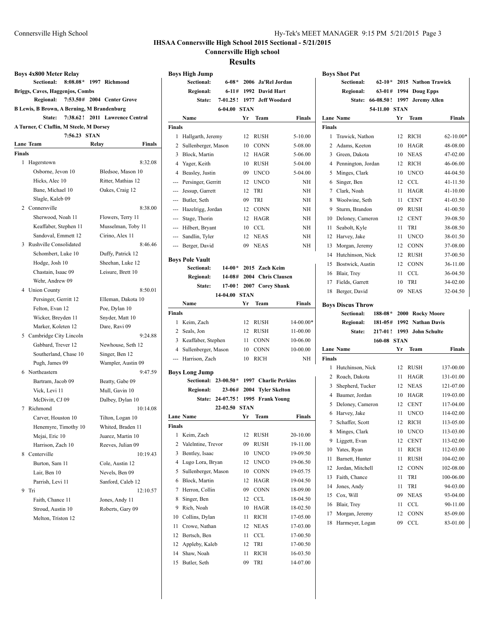### **IHSAA Connersville High School 2015 Sectional - 5/21/2015**

**Connersville High school**

**Results**

| <b>Boys 4x800 Meter Relay</b><br><b>Sectional:</b><br>Briggs, Caves, Haggenjos, Combs<br>Regional: 7:53.50# 2004 Center Grove<br>B Lewis, B Brown, A Berning, M Brandenburg<br>State: | 8:08.08* 1997 Richmond<br>7:38.62! 2011 Lawrence Central | <b>Boys High Jump</b><br>Sectional:<br><b>Regional:</b><br>State:<br>6-04.00 STAN<br>Name | 6-11# 1992 David Hart<br>Yr Team | 6-08* 2006 Ja'Rel Jordan<br>7-01.25! 1977 Jeff Woodard<br><b>Finals</b> | <b>Boys Shot Put</b><br>Sectional:<br><b>Regional:</b><br>Lane Name | State: 66-08.50! 1997 Jeremy Allen<br>54-11.00 STAN | 62-10* 2015 Nathon Trawick<br>63-01# 1994 Doug Epps<br>Yr Team<br>Finals |
|---------------------------------------------------------------------------------------------------------------------------------------------------------------------------------------|----------------------------------------------------------|-------------------------------------------------------------------------------------------|----------------------------------|-------------------------------------------------------------------------|---------------------------------------------------------------------|-----------------------------------------------------|--------------------------------------------------------------------------|
| A Turner, C Claflin, M Steele, M Dorsey                                                                                                                                               |                                                          | <b>Finals</b>                                                                             |                                  |                                                                         | <b>Finals</b>                                                       |                                                     |                                                                          |
| 7:56.23 STAN                                                                                                                                                                          |                                                          | 1 Hallgarth, Jeremy                                                                       | 12 RUSH                          | $5-10.00$                                                               | 1 Trawick, Nathon                                                   |                                                     | 12 RICH<br>$62 - 10.00*$                                                 |
| <b>Lane Team</b>                                                                                                                                                                      | Relay<br>Finals                                          | 2 Sullenberger, Mason                                                                     | 10 CONN                          | 5-08.00                                                                 | 2 Adams, Keeton                                                     |                                                     | 10 HAGR<br>48-08.00                                                      |
| <b>Finals</b>                                                                                                                                                                         |                                                          | 3 Block, Martin                                                                           | 12 HAGR                          | 5-06.00                                                                 | 3 Green, Dakota                                                     |                                                     | 10 NEAS<br>47-02.00                                                      |
| 1 Hagerstown                                                                                                                                                                          | 8:32.08                                                  | 4 Yager, Keith                                                                            | 10 RUSH                          | 5-04.00                                                                 | 4 Pennington, Jordan                                                | 12                                                  | RICH<br>46-06.00                                                         |
| Osborne, Jevon 10                                                                                                                                                                     | Bledsoe, Mason 10                                        | 4 Beasley, Justin                                                                         | 09 UNCO                          | 5-04.00                                                                 | 5 Minges, Clark                                                     | 10                                                  | <b>UNCO</b><br>44-04.50                                                  |
| Hicks, Alec 10                                                                                                                                                                        | Ritter, Mathias 12                                       | Persinger, Gerritt<br>---                                                                 | 12 UNCO                          | NH                                                                      | 6 Singer, Ben                                                       |                                                     | 12 CCL<br>41-11.50                                                       |
| Bane, Michael 10                                                                                                                                                                      | Oakes, Craig 12                                          | Jessup, Garrett<br>---                                                                    | 12 TRI                           | NH                                                                      | 7 Clark, Noah                                                       |                                                     | 11 HAGR<br>41-10.00                                                      |
| Slagle, Kaleb 09                                                                                                                                                                      |                                                          | Butler, Seth<br>---                                                                       | TRI<br>09                        | NH                                                                      | 8 Woolwine, Seth                                                    | 11                                                  | <b>CENT</b><br>41-03.50                                                  |
| 2 Connersville                                                                                                                                                                        | 8:38.00                                                  | Hazelrigg, Jordan<br>---                                                                  | 12 CONN                          | NH                                                                      | 9 Sturm, Brandon                                                    | 09                                                  | <b>RUSH</b><br>41-00.50                                                  |
| Sherwood, Noah 11                                                                                                                                                                     | Flowers, Terry 11                                        | Stage, Thorin<br>---                                                                      | 12 HAGR                          | NH                                                                      | 10 Deloney, Cameron                                                 | 12                                                  | <b>CENT</b><br>39-08.50                                                  |
| Keaffaber, Stephen 11                                                                                                                                                                 | Musselman, Toby 11                                       | Hilbert, Bryant<br>---                                                                    | 10 CCL                           | NH                                                                      | 11 Seabolt, Kyle                                                    | 11                                                  | TRI<br>38-08.50                                                          |
| Sandoval, Emmett 12                                                                                                                                                                   | Cirino, Alex 11                                          | Sandlin, Tyler<br>$\cdots$                                                                | 12 NEAS                          | NH                                                                      | 12 Harvey, Jake                                                     |                                                     | 11 UNCO<br>38-01.50                                                      |
| 3 Rushville Consolidated                                                                                                                                                              | 8:46.46                                                  | --- Berger, David                                                                         | 09 NEAS                          | NH                                                                      | 13 Morgan, Jeremy                                                   |                                                     | 12 CONN<br>37-08.00                                                      |
| Schombert, Luke 10                                                                                                                                                                    | Duffy, Patrick 12                                        | <b>Boys Pole Vault</b>                                                                    |                                  |                                                                         | 14 Hutchinson, Nick                                                 |                                                     | 12 RUSH<br>37-00.50                                                      |
| Hodge, Josh 10                                                                                                                                                                        | Sheehan, Luke 12                                         | $14-00*$<br>Sectional:                                                                    |                                  | 2015 Zach Keim                                                          | 15 Bostwick, Austin                                                 |                                                     | 12 CONN<br>36-11.00                                                      |
| Chastain, Isaac 09                                                                                                                                                                    | Leisure, Brett 10                                        | <b>Regional:</b>                                                                          |                                  | 14-08# 2004 Chris Clausen                                               | 16 Blair, Trey                                                      |                                                     | 11 CCL<br>36-04.50                                                       |
| Wehr. Andrew 09                                                                                                                                                                       |                                                          | State:                                                                                    | 17-00! 2007 Corey Shank          |                                                                         | 17 Fields, Garrett                                                  | 10                                                  | <b>TRI</b><br>34-02.00                                                   |
| 4 Union County                                                                                                                                                                        | 8:50.01                                                  | 14-04.00 STAN                                                                             |                                  |                                                                         | 18 Berger, David                                                    | 09                                                  | NEAS<br>32-04.50                                                         |
| Persinger, Gerritt 12                                                                                                                                                                 | Elleman, Dakota 10                                       | Name                                                                                      | Yr Team                          | <b>Finals</b>                                                           | <b>Boys Discus Throw</b>                                            |                                                     |                                                                          |
| Felton, Evan 12                                                                                                                                                                       | Poe, Dylan 10                                            | <b>Finals</b>                                                                             |                                  |                                                                         | Sectional:                                                          | 188-08*                                             | 2000 Rocky Moore                                                         |
| Wicker, Breyden 11                                                                                                                                                                    | Snyder, Matt 10                                          | 1 Keim, Zach                                                                              | 12 RUSH                          | $14-00.00*$                                                             | <b>Regional:</b>                                                    | 181-05#                                             | 1992 Nathan Davis                                                        |
| Marker, Koleten 12                                                                                                                                                                    | Dare, Ravi 09                                            | 2 Seals, Jon                                                                              | 12 RUSH                          | 11-00.00                                                                | State:                                                              |                                                     | 217-01! 1993 John Schulte                                                |
| 5 Cambridge City Lincoln                                                                                                                                                              | 9:24.88                                                  | 3 Keaffaber, Stephen                                                                      | 11 CONN                          | 10-06.00                                                                |                                                                     | 160-08 STAN                                         |                                                                          |
| Gabbard, Trever 12                                                                                                                                                                    | Newhouse, Seth 12                                        | 4 Sullenberger, Mason                                                                     | 10 CONN                          | 10-00.00                                                                | Lane Name                                                           |                                                     | Yr Team<br><b>Finals</b>                                                 |
| Southerland, Chase 10                                                                                                                                                                 | Singer, Ben 12                                           | --- Harrison, Zach                                                                        | 10 RICH                          | NH                                                                      | <b>Finals</b>                                                       |                                                     |                                                                          |
| Pugh, James 09<br>6 Northeastern                                                                                                                                                      | Wampler, Austin 09<br>9:47.59                            | <b>Boys Long Jump</b>                                                                     |                                  |                                                                         | 1 Hutchinson, Nick                                                  |                                                     | 12 RUSH<br>137-00.00                                                     |
| Bartram, Jacob 09                                                                                                                                                                     | Beatty, Gabe 09                                          | Sectional: 23-00.50* 1997 Charlie Perkins                                                 |                                  |                                                                         | 2 Roach, Dakota                                                     |                                                     | 11 HAGR<br>131-01.00                                                     |
| Vick, Levi 11                                                                                                                                                                         | Mull, Gavin 10                                           | <b>Regional:</b>                                                                          | 23-06# 2004 Tyler Skelton        |                                                                         | 3 Shepherd, Tucker                                                  |                                                     | 12 NEAS<br>121-07.00                                                     |
| McDivitt, CJ 09                                                                                                                                                                       | Dalbey, Dylan 10                                         | State: 24-07.75! 1995 Frank Young                                                         |                                  |                                                                         | 4 Baumer, Jordan                                                    | 10                                                  | HAGR<br>119-03.00                                                        |
| 7 Richmond                                                                                                                                                                            | 10:14.08                                                 | 22-02.50 STAN                                                                             |                                  |                                                                         | 5 Deloney, Cameron                                                  | 12                                                  | <b>CENT</b><br>117-04.00                                                 |
| Carver, Houston 10                                                                                                                                                                    | Tilton, Logan 10                                         | <b>Lane Name</b>                                                                          | Yr Team                          | <b>Finals</b>                                                           | 6 Harvey, Jake                                                      |                                                     | 11 UNCO<br>114-02.00                                                     |
| Henemyre, Timothy 10                                                                                                                                                                  | Whited, Braden 11                                        | <b>Finals</b>                                                                             |                                  |                                                                         | 7 Schaffer, Scott                                                   |                                                     | 12 RICH<br>113-05.00                                                     |
| Mejai, Eric 10                                                                                                                                                                        | Juarez, Martin 10                                        | 1 Keim, Zach                                                                              | 12 RUSH                          | 20-10.00                                                                | 8 Minges, Clark                                                     |                                                     | 10 UNCO<br>113-03.00                                                     |
| Harrison, Zach 10                                                                                                                                                                     | Reeves, Julian 09                                        | 2 Valelntine, Trevor                                                                      | 09 RUSH                          | 19-11.00                                                                | 9 Liggett, Evan                                                     |                                                     | 12 CENT<br>113-02.00                                                     |
| 8 Centerville                                                                                                                                                                         | 10:19.43                                                 | 3 Bentley, Isaac                                                                          | 10 UNCO                          | 19-09.50                                                                | 10 Yates, Ryan                                                      |                                                     | 11 RICH<br>112-03.00                                                     |
| Burton, Sam 11                                                                                                                                                                        | Cole, Austin 12                                          | 4 Lugo Lora, Bryan                                                                        | 12 UNCO                          | 19-06.50                                                                | 11 Barnett, Hunter                                                  |                                                     | 11 RUSH<br>104-02.00                                                     |
| Lair, Ben 10                                                                                                                                                                          | Nevels, Ben 09                                           | 5 Sullenberger, Mason                                                                     | 10 CONN                          | 19-05.75                                                                | 12 Jordan, Mitchell                                                 |                                                     | 12 CONN<br>102-08.00                                                     |
| Parrish, Levi 11                                                                                                                                                                      | Sanford, Caleb 12                                        | 6 Block, Martin                                                                           | 12 HAGR                          | 19-04.50                                                                | 13 Faith, Chance                                                    |                                                     | 11 TRI<br>100-06.00                                                      |
| 9 Tri                                                                                                                                                                                 | 12:10.57                                                 | 7 Herron, Collin                                                                          | 09 CONN                          | 18-09.00                                                                | 14 Jones, Andy                                                      |                                                     | 11 TRI<br>94-03.00                                                       |
| Faith, Chance 11                                                                                                                                                                      | Jones, Andy 11                                           | 8 Singer, Ben                                                                             | 12 CCL                           | 18-04.50                                                                | 15 Cox, Will                                                        | 09                                                  | <b>NEAS</b><br>93-04.00                                                  |
| Stroud, Austin 10                                                                                                                                                                     | Roberts, Gary 09                                         | 9 Rich, Noah                                                                              | 10 HAGR                          | 18-02.50                                                                | 16 Blair, Trey                                                      |                                                     | 11 CCL<br>90-11.00                                                       |
| Melton, Triston 12                                                                                                                                                                    |                                                          | 10 Collins, Dylan                                                                         | 11 RICH                          | 17-05.00                                                                | 17 Morgan, Jeremy                                                   | 12                                                  | CONN<br>85-09.00                                                         |
|                                                                                                                                                                                       |                                                          | 11 Crowe, Nathan                                                                          | 12 NEAS                          | 17-03.00                                                                | 18 Harmeyer, Logan                                                  |                                                     | 09 CCL<br>83-01.00                                                       |
|                                                                                                                                                                                       |                                                          | 12 Bertsch, Ben                                                                           | 11 CCL                           | 17-00.50                                                                |                                                                     |                                                     |                                                                          |
|                                                                                                                                                                                       |                                                          | 12 Appleby, Kaleb                                                                         | 12 TRI                           | 17-00.50                                                                |                                                                     |                                                     |                                                                          |
|                                                                                                                                                                                       |                                                          | 14 Shaw, Noah                                                                             | 11 RICH                          | 16-03.50                                                                |                                                                     |                                                     |                                                                          |
|                                                                                                                                                                                       |                                                          | 15 Butler, Seth                                                                           | 09 TRI                           | 14-07.00                                                                |                                                                     |                                                     |                                                                          |

| <b>B Lewis, B Brown, A Berning, M Brandenburg</b> |                        |                   |       |                    |  |  |  |  |
|---------------------------------------------------|------------------------|-------------------|-------|--------------------|--|--|--|--|
| 7:38.62! 2011 Lawrence Central<br>State:          |                        |                   |       |                    |  |  |  |  |
| A Turner, C Claflin, M Steele, M Dorsey           |                        |                   |       |                    |  |  |  |  |
| 7:56.23 STAN                                      |                        |                   |       |                    |  |  |  |  |
|                                                   | <b>Lane Team</b>       |                   | Relay | Finals             |  |  |  |  |
| <b>Finals</b>                                     |                        |                   |       |                    |  |  |  |  |
| 1                                                 | Hagerstown             |                   |       | 8:32.08            |  |  |  |  |
|                                                   | Osborne, Jevon 10      |                   |       | Bledsoe, Mason 10  |  |  |  |  |
|                                                   | Hicks, Alec 10         |                   |       | Ritter, Mathias 12 |  |  |  |  |
|                                                   | Bane, Michael 10       |                   |       | Oakes, Craig 12    |  |  |  |  |
|                                                   |                        | Slagle, Kaleb 09  |       |                    |  |  |  |  |
| 2                                                 | Connersville           |                   |       | 8:38.00            |  |  |  |  |
|                                                   |                        | Sherwood, Noah 11 |       | Flowers, Terry 11  |  |  |  |  |
|                                                   | Keaffaber, Stephen 11  |                   |       | Musselman, Toby 11 |  |  |  |  |
|                                                   | Sandoval, Emmett 12    |                   |       | Cirino, Alex 11    |  |  |  |  |
| 3                                                 | Rushville Consolidated |                   |       | 8:46.46            |  |  |  |  |
|                                                   | Schombert, Luke 10     |                   |       | Duffy, Patrick 12  |  |  |  |  |
|                                                   | Hodge, Josh 10         |                   |       | Sheehan, Luke 12   |  |  |  |  |
|                                                   | Chastain, Isaac 09     |                   |       | Leisure, Brett 10  |  |  |  |  |
|                                                   | Wehr, Andrew 09        |                   |       |                    |  |  |  |  |
| 4                                                 | <b>Union County</b>    |                   |       | 8:50.01            |  |  |  |  |
|                                                   | Persinger, Gerritt 12  |                   |       | Elleman, Dakota 10 |  |  |  |  |
|                                                   | Felton, Evan 12        |                   |       | Poe, Dylan 10      |  |  |  |  |
|                                                   | Wicker, Breyden 11     |                   |       | Snyder, Matt 10    |  |  |  |  |
|                                                   | Marker, Koleten 12     |                   |       | Dare, Ravi 09      |  |  |  |  |
| 5                                                 | Cambridge City Lincoln |                   |       | 9:24.88            |  |  |  |  |
|                                                   | Gabbard, Trever 12     |                   |       | Newhouse, Seth 12  |  |  |  |  |
|                                                   | Southerland, Chase 10  |                   |       | Singer, Ben 12     |  |  |  |  |
|                                                   | Pugh, James 09         |                   |       | Wampler, Austin 09 |  |  |  |  |
| 6                                                 | Northeastern           |                   |       | 9:47.59            |  |  |  |  |
|                                                   | Bartram, Jacob 09      |                   |       | Beatty, Gabe 09    |  |  |  |  |
|                                                   | Vick, Levi 11          |                   |       | Mull, Gavin 10     |  |  |  |  |
|                                                   | McDivitt, CJ 09        |                   |       | Dalbey, Dylan 10   |  |  |  |  |
| 7                                                 | Richmond               |                   |       | 10:14.08           |  |  |  |  |
|                                                   | Carver, Houston 10     |                   |       | Tilton, Logan 10   |  |  |  |  |
|                                                   | Henemyre, Timothy 10   |                   |       | Whited, Braden 11  |  |  |  |  |
|                                                   | Mejai, Eric 10         |                   |       | Juarez, Martin 10  |  |  |  |  |
|                                                   | Harrison. Zach 10      |                   |       | Reeves, Julian 09  |  |  |  |  |
| 8                                                 | Centerville            |                   |       | 10:19.43           |  |  |  |  |
|                                                   | Burton, Sam 11         |                   |       | Cole, Austin 12    |  |  |  |  |
|                                                   | Lair, Ben 10           |                   |       | Nevels, Ben 09     |  |  |  |  |
|                                                   | Parrish, Levi 11       |                   |       | Sanford, Caleb 12  |  |  |  |  |
| 9                                                 | Tri                    |                   |       | 12:10.57           |  |  |  |  |
|                                                   | Faith, Chance 11       |                   |       | Jones, Andy 11     |  |  |  |  |
|                                                   | Stroud, Austin 10      |                   |       | Roberts, Gary 09   |  |  |  |  |
|                                                   | Melton, Triston 12     |                   |       |                    |  |  |  |  |
|                                                   |                        |                   |       |                    |  |  |  |  |